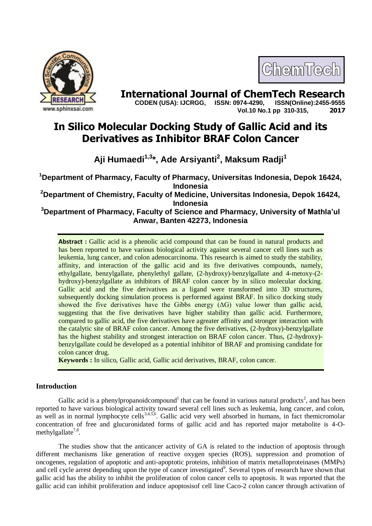



**International Journal of ChemTech Research Copen (USA): IJCRGG. ISSN: 0974-4290. ISSN(Online):2455-9555 CODEN (USA): IJCRGG, ISSN: 0974-4290, Vol.10 No.1 pp 310-315, 2017**

# **In Silico Molecular Docking Study of Gallic Acid and its Derivatives as Inhibitor BRAF Colon Cancer**

**Aji Humaedi1,3\*, Ade Arsiyanti<sup>2</sup> , Maksum Radji<sup>1</sup>**

**<sup>1</sup>Department of Pharmacy, Faculty of Pharmacy, Universitas Indonesia, Depok 16424, Indonesia**

**<sup>2</sup>Department of Chemistry, Faculty of Medicine, Universitas Indonesia, Depok 16424, Indonesia**

**<sup>3</sup>Department of Pharmacy, Faculty of Science and Pharmacy, University of Mathla'ul Anwar, Banten 42273, Indonesia**

**Abstract :** Gallic acid is a phenolic acid compound that can be found in natural products and has been reported to have various biological activity against several cancer cell lines such as leukemia, lung cancer, and colon adenocarcinoma. This research is aimed to study the stability, affinity, and interaction of the gallic acid and its five derivatives compounds, namely, ethylgallate, benzylgallate, phenylethyl gallate, (2-hydroxy)-benzylgallate and 4-metoxy-(2 hydroxy)-benzylgallate as inhibitors of BRAF colon cancer by in silico molecular docking. Gallic acid and the five derivatives as a ligand were transformed into 3D structures, subsequently docking simulation process is performed against BRAF. In silico docking study showed the five derivatives have the Gibbs energy  $(\Delta G)$  value lower than gallic acid, suggesting that the five derivatives have higher stability than gallic acid. Furthermore, compared to gallic acid, the five derivatives have agreater affinity and stronger interaction with the catalytic site of BRAF colon cancer. Among the five derivatives, (2-hydroxy)-benzylgallate has the highest stability and strongest interaction on BRAF colon cancer. Thus, (2-hydroxy) benzylgallate could be developed as a potential inhibitor of BRAF and promising candidate for colon cancer drug.

**Keywords :** In silico, Gallic acid, Gallic acid derivatives, BRAF, colon cancer.

# **Introduction**

Gallic acid is a phenylpropanoidcompound<sup>1</sup> that can be found in various natural products<sup>2</sup>, and has been reported to have various biological activity toward several cell lines such as leukemia, lung cancer, and colon, as well as in normal lymphocyte cells<sup>3,4,5,6</sup>. Gallic acid very well absorbed in humans, in fact themicromolar concentration of free and glucuronidated forms of gallic acid and has reported major metabolite is 4-Omethylgallate<sup>7,8</sup>.

The studies show that the anticancer activity of GA is related to the induction of apoptosis through different mechanisms like generation of reactive oxygen species (ROS), suppression and promotion of oncogenes, regulation of apoptotic and anti-apoptotic proteins, inhibition of matrix metalloproteinases (MMPs) and cell cycle arrest depending upon the type of cancer investigated<sup>9</sup>. Several types of research have shown that gallic acid has the ability to inhibit the proliferation of colon cancer cells to apoptosis. It was reported that the gallic acid can inhibit proliferation and induce apoptosisof cell line Caco-2 colon cancer through activation of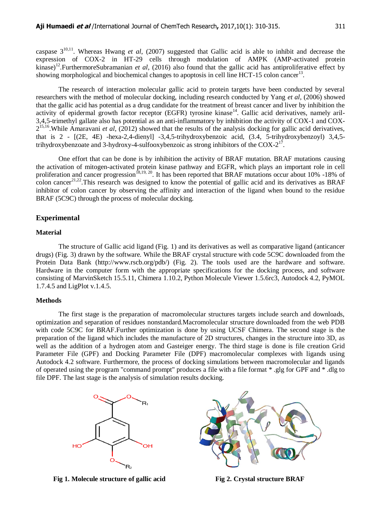caspase 310,11. Whereas Hwang *et al*, (2007) suggested that Gallic acid is able to inhibit and decrease the expression of COX-2 in HT-29 cells through modulation of AMPK (AMP-activated protein kinase)<sup>12</sup>. FurthermoreSubramanian *et al*, (2016) also found that the gallic acid has antiproliferative effect by showing morphological and biochemical changes to apoptosis in cell line HCT-15 colon cancer<sup>13</sup>.

The research of interaction molecular gallic acid to protein targets have been conducted by several researchers with the method of molecular docking, including research conducted by Yang *et al*, (2006) showed that the gallic acid has potential as a drug candidate for the treatment of breast cancer and liver by inhibition the activity of epidermal growth factor receptor (EGFR) tyrosine kinase<sup>14</sup>. Gallic acid derivatives, namely aril-3,4,5-trimethyl gallate also has potential as an anti-inflammatory by inhibition the activity of COX-1 and COX-2<sup>15,16</sup>. While Amaravani *et al*, (2012) showed that the results of the analysis docking for gallic acid derivatives, that is  $2 - [(2E, 4E)$  -hexa-2,4-dienyl -3,4,5-trihydroxybenzoic acid,  $(3.4, 5$ -trihydroxybenzoyl) 3,4,5trihydroxybenzoate and 3-hydroxy-4-sulfooxybenzoic as strong inhibitors of the  $COX-2^{17}$ .

One effort that can be done is by inhibition the activity of BRAF mutation. BRAF mutations causing the activation of mitogen-activated protein kinase pathway and EGFR, which plays an important role in cell proliferation and cancer progression<sup>18,19, 20</sup>. It has been reported that BRAF mutations occur about 10% -18% of colon cancer<sup>21,22</sup>. This research was designed to know the potential of gallic acid and its derivatives as BRAF inhibitor of colon cancer by observing the affinity and interaction of the ligand when bound to the residue BRAF (5C9C) through the process of molecular docking.

## **Experimental**

#### **Material**

The structure of Gallic acid ligand (Fig. 1) and its derivatives as well as comparative ligand (anticancer drugs) (Fig. 3) drawn by the software. While the BRAF crystal structure with code 5C9C downloaded from the Protein Data Bank (http://www.rscb.org/pdb/) (Fig. 2). The tools used are the hardware and software. Hardware in the computer form with the appropriate specifications for the docking process, and software consisting of MarvinSketch 15.5.11, Chimera 1.10.2, Python Molecule Viewer 1.5.6rc3, Autodock 4.2, PyMOL 1.7.4.5 and LigPlot v.1.4.5.

## **Methods**

The first stage is the preparation of macromolecular structures targets include search and downloads, optimization and separation of residues nonstandard.Macromolecular structure downloaded from the web PDB with code 5C9C for BRAF.Further optimization is done by using UCSF Chimera. The second stage is the preparation of the ligand which includes the manufacture of 2D structures, changes in the structure into 3D, as well as the addition of a hydrogen atom and Gasteiger energy. The third stage is done is file creation Grid Parameter File (GPF) and Docking Parameter File (DPF) macromolecular complexes with ligands using Autodock 4.2 software. Furthermore, the process of docking simulations between macromolecular and ligands of operated using the program "command prompt" produces a file with a file format \* .glg for GPF and \* .dlg to file DPF. The last stage is the analysis of simulation results docking.



**Fig 1. Molecule structure of gallic acid Fig 2. Crystal structure BRAF**

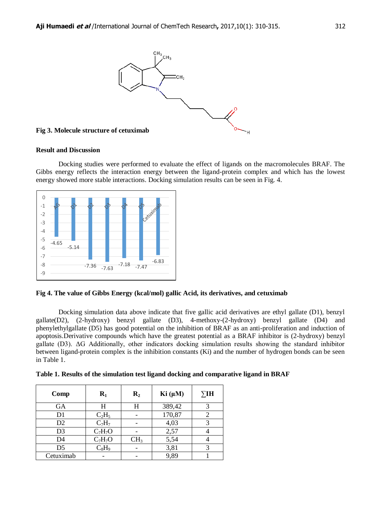

# **Fig 3. Molecule structure of cetuximab**

#### **Result and Discussion**

Docking studies were performed to evaluate the effect of ligands on the macromolecules BRAF. The Gibbs energy reflects the interaction energy between the ligand-protein complex and which has the lowest energy showed more stable interactions. Docking simulation results can be seen in Fig. 4.



**Fig 4. The value of Gibbs Energy (kcal/mol) gallic Acid, its derivatives, and cetuximab**

Docking simulation data above indicate that five gallic acid derivatives are ethyl gallate (D1), benzyl gallate(D2), (2-hydroxy) benzyl gallate (D3), 4-methoxy-(2-hydroxy) benzyl gallate (D4) and phenylethylgallate (D5) has good potential on the inhibition of BRAF as an anti-proliferation and induction of apoptosis.Derivative compounds which have the greatest potential as a BRAF inhibitor is (2-hydroxy) benzyl gallate  $(D3)$ .  $\Delta G$  Additionally, other indicators docking simulation results showing the standard inhibitor between ligand-protein complex is the inhibition constants (Ki) and the number of hydrogen bonds can be seen in Table 1.

|  |  |  |  | Table 1. Results of the simulation test ligand docking and comparative ligand in BRAF |
|--|--|--|--|---------------------------------------------------------------------------------------|
|  |  |  |  |                                                                                       |

| Comp           | $\mathbf{R}_1$ | $\mathbf{R}_2$  | Ki (µM) | $\Sigma$ IH |
|----------------|----------------|-----------------|---------|-------------|
| <b>GA</b>      | H              | H               | 389,42  |             |
| D <sub>1</sub> | $C_2H_5$       |                 | 170,87  |             |
| D <sub>2</sub> | $C_7H_7$       |                 | 4,03    |             |
| D <sub>3</sub> | $C_7H_7O$      |                 | 2,57    |             |
| D4             | $C_7H_7O$      | CH <sub>3</sub> | 5,54    |             |
| D <sub>5</sub> | $C_8H_9$       |                 | 3,81    |             |
| Cetuximab      |                |                 | 9,89    |             |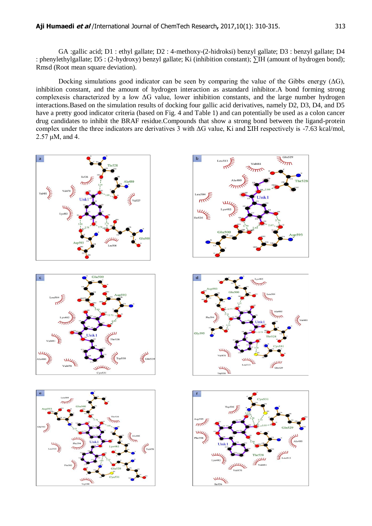GA :gallic acid; D1 : ethyl gallate; D2 : 4-methoxy-(2-hidroksi) benzyl gallate; D3 : benzyl gallate; D4 : phenylethylgallate; D5 : (2-hydroxy) benzyl gallate; Ki (inhibition constant); ∑IH (amount of hydrogen bond); Rmsd (Root mean square deviation).

Docking simulations good indicator can be seen by comparing the value of the Gibbs energy  $( \Delta G )$ , inhibition constant, and the amount of hydrogen interaction as astandard inhibitor.A bond forming strong complexesis characterized by a low ΔG value, lower inhibition constants, and the large number hydrogen interactions.Based on the simulation results of docking four gallic acid derivatives, namely D2, D3, D4, and D5 have a pretty good indicator criteria (based on Fig. 4 and Table 1) and can potentially be used as a colon cancer drug candidates to inhibit the BRAF residue.Compounds that show a strong bond between the ligand-protein complex under the three indicators are derivatives 3 with ΔG value, Ki and ΣIH respectively is -7.63 kcal/mol, 2.57 μM, and 4.

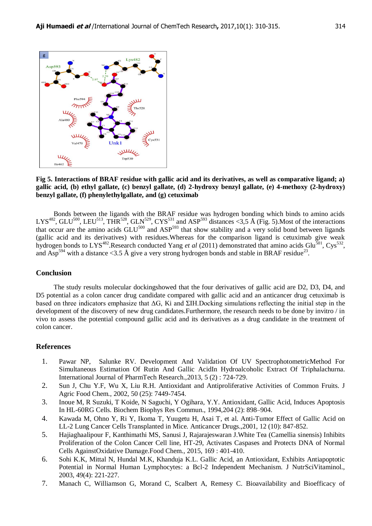

## **Fig 5. Interactions of BRAF residue with gallic acid and its derivatives, as well as comparative ligand; a) gallic acid, (b) ethyl gallate, (c) benzyl gallate, (d) 2-hydroxy benzyl gallate, (e) 4-methoxy (2-hydroxy) benzyl gallate, (f) phenylethylgallate, and (g) cetuximab**

Bonds between the ligands with the BRAF residue was hydrogen bonding which binds to amino acids LYS<sup>482</sup>, GLU<sup>500</sup>, LEU<sup>513</sup>, THR<sup>528</sup>, GLN<sup>529</sup>, CYS<sup>531</sup> and ASP<sup>593</sup> distances <3,5 Å (Fig. 5). Most of the interactions that occur are the amino acids  $GLU<sup>500</sup>$  and  $ASP<sup>593</sup>$  that show stability and a very solid bond between ligands (gallic acid and its derivatives) with residues.Whereas for the comparison ligand is cetuximab give weak hydrogen bonds to LYS<sup>482</sup>. Research conducted Yang *et al* (2011) demonstrated that amino acids Glu<sup>501</sup>, Cys<sup>532</sup>, and Asp<sup>594</sup> with a distance <3.5 Å give a very strong hydrogen bonds and stable in BRAF residue<sup>23</sup>.

#### **Conclusion**

The study results molecular dockingshowed that the four derivatives of gallic acid are D2, D3, D4, and D5 potential as a colon cancer drug candidate compared with gallic acid and an anticancer drug cetuximab is based on three indicators emphasize that  $\Delta G$ . Ki and ΣIH.Docking simulations reflecting the initial step in the development of the discovery of new drug candidates.Furthermore, the research needs to be done by invitro / in vivo to assess the potential compound gallic acid and its derivatives as a drug candidate in the treatment of colon cancer.

### **References**

- 1. Pawar NP, Salunke RV. Development And Validation Of UV SpectrophotometricMethod For Simultaneous Estimation Of Rutin And Gallic AcidIn Hydroalcoholic Extract Of Triphalachurna. International Journal of PharmTech Research.,2013, 5 (2) : 724-729.
- 2. Sun J, Chu Y.F, Wu X, Liu R.H. Antioxidant and Antiproliferative Activities of Common Fruits. J Agric Food Chem., 2002, 50 (25): 7449-7454.
- 3. Inoue M, R Suzuki, T Koide, N Saguchi, Y Ogihara, Y.Y. Antioxidant, Gallic Acid, Induces Apoptosis In HL-60RG Cells. Biochem Biophys Res Commun., 1994,204 (2): 898–904.
- 4. Kawada M, Ohno Y, Ri Y, Ikoma T, Yuugetu H, Asai T, et al. Anti-Tumor Effect of Gallic Acid on LL-2 Lung Cancer Cells Transplanted in Mice. Anticancer Drugs.,2001, 12 (10): 847-852.
- 5. Hajiaghaalipour F, Kanthimathi MS, Sanusi J, Rajarajeswaran J.White Tea (Camellia sinensis) Inhibits Proliferation of the Colon Cancer Cell line, HT-29, Activates Caspases and Protects DNA of Normal Cells AgainstOxidative Damage.Food Chem., 2015, 169 : 401-410.
- 6. Sohi K.K, Mittal N, Hundal M.K, Khanduja K.L. Gallic Acid, an Antioxidant, Exhibits Antiapoptotic Potential in Normal Human Lymphocytes: a Bcl-2 Independent Mechanism. J NutrSciVitaminol., 2003, 49(4): 221-227.
- 7. Manach C, Williamson G, Morand C, Scalbert A, Remesy C. Bioavailability and Bioefficacy of